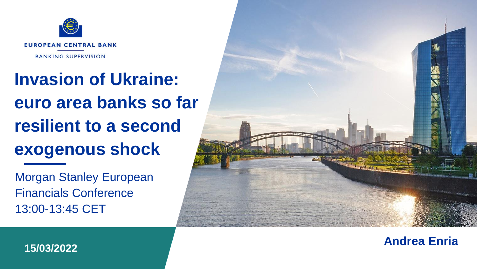

# **Invasion of Ukraine: euro area banks so far resilient to a second exogenous shock**

Morgan Stanley European Financials Conference 13:00-13:45 CET



**Andrea Enria 15/03/2022**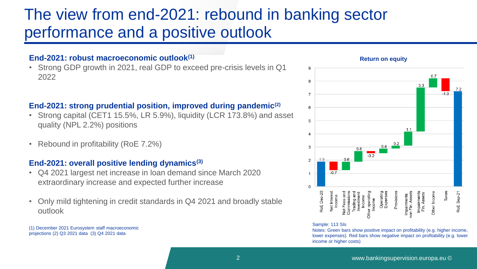## The view from end-2021: rebound in banking sector performance and a positive outlook

#### **End-2021: robust macroeconomic outlook(1)**

• Strong GDP growth in 2021, real GDP to exceed pre-crisis levels in Q1 2022

### **End-2021: strong prudential position, improved during pandemic(2)**

- Strong capital (CET1 15.5%, LR 5.9%), liquidity (LCR 173.8%) and asset quality (NPL 2.2%) positions
- Rebound in profitability (RoE 7.2%)

#### **End-2021: overall positive lending dynamics(3)**

- Q4 2021 largest net increase in loan demand since March 2020 extraordinary increase and expected further increase
- Only mild tightening in credit standards in Q4 2021 and broadly stable outlook

(1) December 2021 Eurosystem staff macroeconomic projections (2) Q3 2021 data (3) Q4 2021 data



#### **Return on equity**

#### Sample: 113 SIs

Net Interest<br>Income

Net Fees an<br>Commission<br>Trading an<br>Investmen<br>Income

Other operati<br>Income

RoE Dec-20

9 8  $\overline{7}$ 

6

5

 $\overline{4}$ 3

 $\overline{a}$ 

 $\Omega$ 

Notes: Green bars show positive impact on profitability (e.g. higher income, lower expenses). Red bars show negative impact on profitability (e.g. lower income or higher costs)

Provision Operatin<br>Expense

Impairments<br>
non Fin. Assets Impairments<br>Fin. Assets Taxes

Other Incom

RoE Sep-2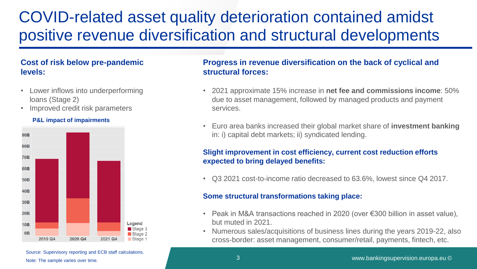## COVID-related asset quality deterioration contained amidst positive revenue diversification and structural developments

### **Cost of risk below pre-pandemic levels:**

- Lower inflows into underperforming loans (Stage 2)
- Improved credit risk parameters

#### **P&L impact of impairments**



**Progress in revenue diversification on the back of cyclical and structural forces:** 

- 2021 approximate 15% increase in **net fee and commissions income**: 50% due to asset management, followed by managed products and payment services.
- Euro area banks increased their global market share of **investment banking** in: i) capital debt markets; ii) syndicated lending.

#### **Slight improvement in cost efficiency, current cost reduction efforts expected to bring delayed benefits:**

• Q3 2021 cost-to-income ratio decreased to 63.6%, lowest since Q4 2017.

#### **Some structural transformations taking place:**

- Peak in M&A transactions reached in 2020 (over €300 billion in asset value), but muted in 2021.
- Numerous sales/acquisitions of business lines during the years 2019-22, also cross-border: asset management, consumer/retail, payments, fintech, etc.

Source: Supervisory reporting and ECB staff calculations. Note: The sample varies over time.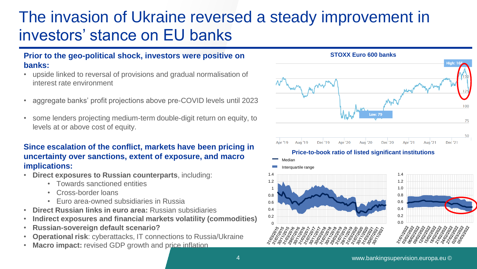## The invasion of Ukraine reversed a steady improvement in investors' stance on EU banks

#### **Prior to the geo-political shock, investors were positive on banks:**

- upside linked to reversal of provisions and gradual normalisation of interest rate environment
- aggregate banks' profit projections above pre-COVID levels until 2023
- some lenders projecting medium-term double-digit return on equity, to levels at or above cost of equity.

### **Since escalation of the conflict, markets have been pricing in uncertainty over sanctions, extent of exposure, and macro implications:**

- **Direct exposures to Russian counterparts**, including:
	- Towards sanctioned entities
	- Cross-border loans
	- Euro area-owned subsidiaries in Russia
- **Direct Russian links in euro area:** Russian subsidiaries
- **Indirect exposures and financial markets volatility (commodities)**
- **Russian-sovereign default scenario?**
- **Operational risk**: cyberattacks, IT connections to Russia/Ukraine
- **Macro impact:** revised GDP growth and price inflation

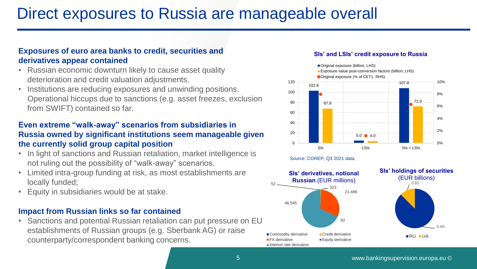## Direct exposures to Russia are manageable overall

### **Exposures of euro area banks to credit, securities and derivatives appear contained**

- Russian economic downturn likely to cause asset quality deterioration and credit valuation adjustments.
- Institutions are reducing exposures and unwinding positions. Operational hiccups due to sanctions (e.g. asset freezes, exclusion from SWIFT) contained so far.

### **Even extreme "walk-away" scenarios from subsidiaries in Russia owned by significant institutions seem manageable given the currently solid group capital position**

- In light of sanctions and Russian retaliation, market intelligence is not ruling out the possibility of "walk-away" scenarios.
- Limited intra-group funding at risk, as most establishments are locally funded;
- Equity in subsidiaries would be at stake.

### **Impact from Russian links so far contained**

• Sanctions and potential Russian retaliation can put pressure on EU establishments of Russian groups (e.g. Sberbank AG) or raise counterparty/correspondent banking concerns.

#### **SIs' and LSIs' credit exposure to Russia**

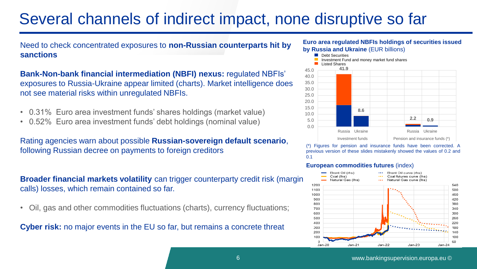## Several channels of indirect impact, none disruptive so far

**by Russia and Ukraine** *(EUR billions)* Need to check concentrated exposures to **non-Russian counterparts hit by Euro area regulated NBFIS holdings sanctions** 

**Bank-Non-bank financial intermediation (NBFI) nexus:** regulated NBFIs' exposures to Russia-Ukraine appear limited (charts). Market intelligence does not see material risks within unregulated NBFIs.

- 0.31% Euro area investment funds' shares holdings (market value)
- 0.52% Euro area investment funds' debt holdings (nominal value)

Rating agencies warn about possible **Russian-sovereign default scenario**, following Russian decree on payments to foreign creditors

**Broader financial markets volatility** can trigger counterparty credit risk (margin calls) losses, which remain contained so far.

• Oil, gas and other commodities fluctuations (charts), currency fluctuations;



### **Euro area regulated NBFIs holdings of securities issued**



(\*) Figures for pension and insurance funds have been corrected. A previous version of these slides mistakenly showed the values of 0.2 and 0.1

#### **European commodities futures** (index)

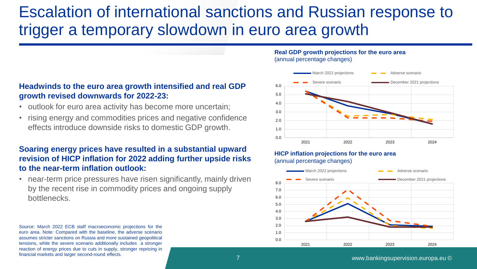## Escalation of international sanctions and Russian response to trigger a temporary slowdown in euro area growth

### **Headwinds to the euro area growth intensified and real GDP growth revised downwards for 2022-23:**

- outlook for euro area activity has become more uncertain;
- rising energy and commodities prices and negative confidence effects introduce downside risks to domestic GDP growth.

### **Soaring energy prices have resulted in a substantial upward revision of HICP inflation for 2022 adding further upside risks to the near-term inflation outlook:**

• near-term price pressures have risen significantly, mainly driven by the recent rise in commodity prices and ongoing supply bottlenecks.

Source: March 2022 ECB staff macroeconomic projections for the euro area. Note: Compared with the baseline, the adverse scenario assumes stricter sanctions on Russia and more sustained geopolitical tensions, while the severe scenario additionally includes a stronger reaction of energy prices due to cuts in supply, stronger repricing in financial markets and larger second-round effects.

#### **Real GDP growth projections for the euro area**  (annual percentage changes)



#### **HICP inflation projections for the euro area**  (annual percentage changes)

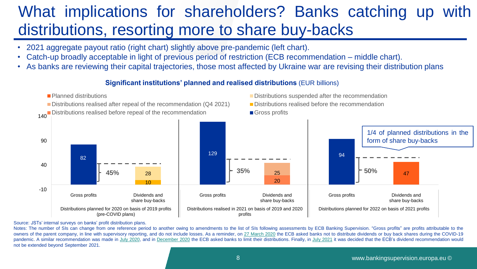## What implications for shareholders? Banks catching up with distributions, resorting more to share buy-backs

- 2021 aggregate payout ratio (right chart) slightly above pre-pandemic (left chart).
- Catch-up broadly acceptable in light of previous period of restriction (ECB recommendation middle chart).
- As banks are reviewing their capital trajectories, those most affected by Ukraine war are revising their distribution plans

**Significant institutions' planned and realised distributions** (EUR billions)



#### Source: JSTs' internal surveys on banks' profit distribution plans.

Notes: The number of SIs can change from one reference period to another owing to amendments to the list of SIs following assessments by ECB Banking Supervision. "Gross profits" are profits attributable to the owners of the parent company, in line with supervisory reporting, and do not include losses. As a reminder, on 27 [March](https://www.bankingsupervision.europa.eu/press/pr/date/2020/html/ssm.pr200327~d4d8f81a53.en.html) 2020 the ECB asked banks not to distribute dividends or buy back shares during the COVID-19 pandemic. A similar recommendation was made in July [2020,](https://www.bankingsupervision.europa.eu/press/pr/date/2020/html/ssm.pr200728_1~42a74a0b86.en.html) and in [December](https://www.bankingsupervision.europa.eu/press/pr/date/2020/html/ssm.pr201215~4742ea7c8a.en.html) 2020 the ECB asked banks to limit their distributions. Finally, in July [2021](https://www.bankingsupervision.europa.eu/press/pr/date/2021/html/ssm.pr210723~7ef2cdf6b7.en.html) it was decided that the ECB's dividend recommendation would not be extended beyond September 2021.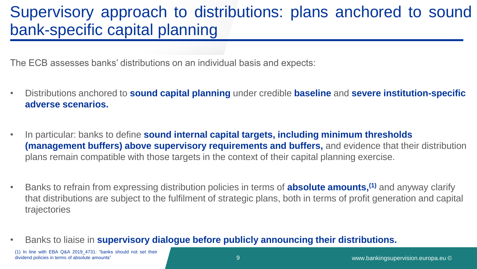## Supervisory approach to distributions: plans anchored to sound bank-specific capital planning

The ECB assesses banks' distributions on an individual basis and expects:

- Distributions anchored to **sound capital planning** under credible **baseline** and **severe institution-specific adverse scenarios.**
- In particular: banks to define **sound internal capital targets, including minimum thresholds (management buffers) above supervisory requirements and buffers,** and evidence that their distribution plans remain compatible with those targets in the context of their capital planning exercise.
- Banks to refrain from expressing distribution policies in terms of **absolute amounts,(1)** and anyway clarify that distributions are subject to the fulfilment of strategic plans, both in terms of profit generation and capital trajectories
- Banks to liaise in **supervisory dialogue before publicly announcing their distributions.**